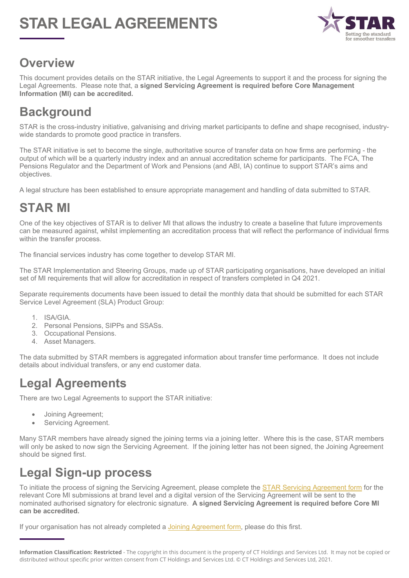# **STAR LEGAL AGREEMENTS**



### **Overview**

This document provides details on the STAR initiative, the Legal Agreements to support it and the process for signing the Legal Agreements. Please note that, a **signed Servicing Agreement is required before Core Management Information (MI) can be accredited.**

# **Background**

STAR is the cross-industry initiative, galvanising and driving market participants to define and shape recognised, industrywide standards to promote good practice in transfers.

The STAR initiative is set to become the single, authoritative source of transfer data on how firms are performing - the output of which will be a quarterly industry index and an annual accreditation scheme for participants. The FCA, The Pensions Regulator and the Department of Work and Pensions (and ABI, IA) continue to support STAR's aims and objectives.

A legal structure has been established to ensure appropriate management and handling of data submitted to STAR.

# **STAR MI**

One of the key objectives of STAR is to deliver MI that allows the industry to create a baseline that future improvements can be measured against, whilst implementing an accreditation process that will reflect the performance of individual firms within the transfer process.

The financial services industry has come together to develop STAR MI.

The STAR Implementation and Steering Groups, made up of STAR participating organisations, have developed an initial set of MI requirements that will allow for accreditation in respect of transfers completed in Q4 2021.

Separate requirements documents have been issued to detail the monthly data that should be submitted for each STAR Service Level Agreement (SLA) Product Group:

- 1. ISA/GIA.
- 2. Personal Pensions, SIPPs and SSASs.
- 3. Occupational Pensions.
- 4. Asset Managers.

The data submitted by STAR members is aggregated information about transfer time performance. It does not include details about individual transfers, or any end customer data.

# **Legal Agreements**

There are two Legal Agreements to support the STAR initiative:

- Joining Agreement;
- Servicing Agreement.

Many STAR members have already signed the joining terms via a joining letter. Where this is the case, STAR members will only be asked to now sign the Servicing Agreement. If the joining letter has not been signed, the Joining Agreement should be signed first.

# **Legal Sign-up process**

To initiate the process of signing the Servicing Agreement, please complete the STAR Servicing Agreement form for the relevant Core MI submissions at brand level and a digital version of the Servicing Agreement will be sent to the nominated authorised signatory for electronic signature. **A signed Servicing Agreement is required before Core MI can be accredited.**

If your organisation has not already completed a Joining Agreement form, please do this first.

**Information Classification: Restricted** - The copyright in this document is the property of CT Holdings and Services Ltd. It may not be copied or distributed without specific prior written consent from CT Holdings and Services Ltd. © CT Holdings and Services Ltd, 2021.